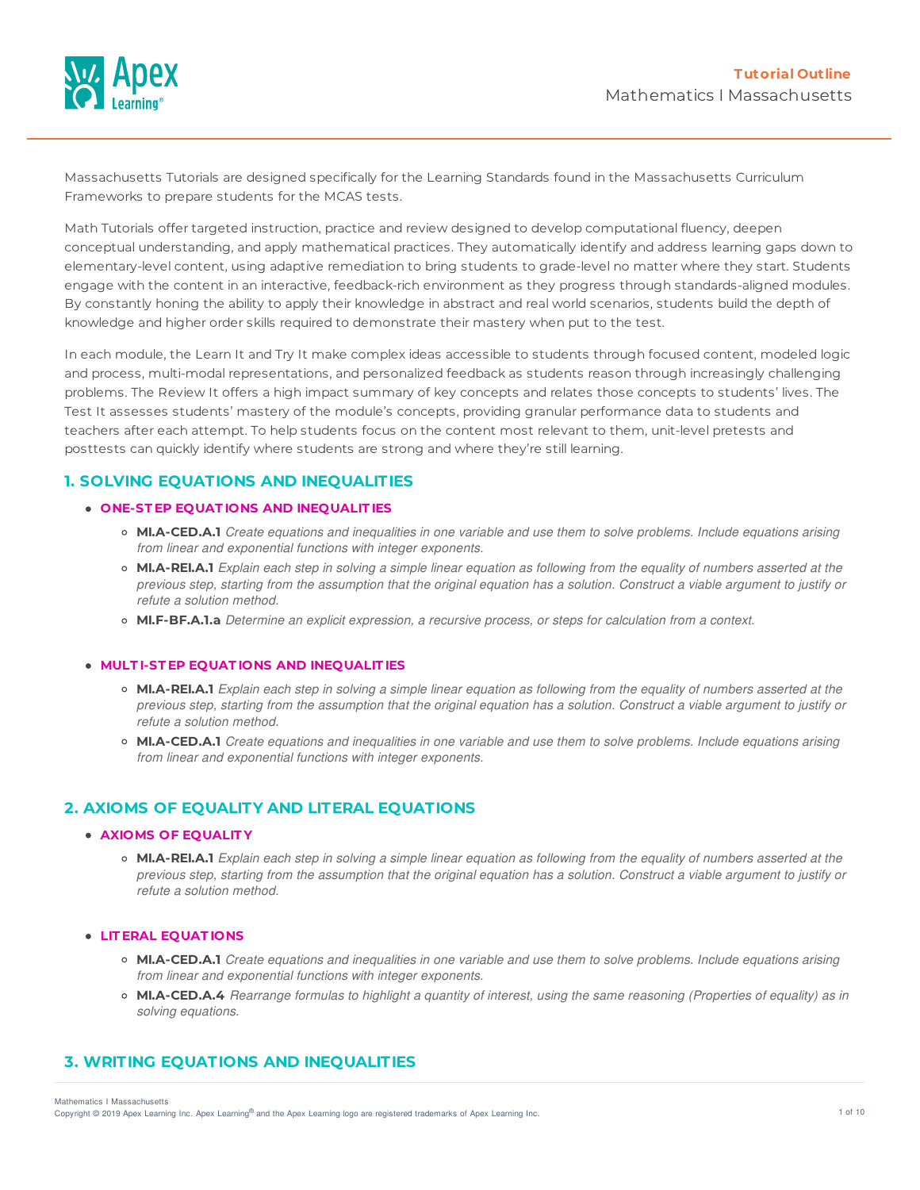

Massachusetts Tutorials are designed specifically for the Learning Standards found in the Massachusetts Curriculum Frameworks to prepare students for the MCAS tests.

Math Tutorials offer targeted instruction, practice and review designed to develop computational fluency, deepen conceptual understanding, and apply mathematical practices. They automatically identify and address learning gaps down to elementary-level content, using adaptive remediation to bring students to grade-level no matter where they start. Students engage with the content in an interactive, feedback-rich environment as they progress through standards-aligned modules. By constantly honing the ability to apply their knowledge in abstract and real world scenarios, students build the depth of knowledge and higher order skills required to demonstrate their mastery when put to the test.

In each module, the Learn It and Try It make complex ideas accessible to students through focused content, modeled logic and process, multi-modal representations, and personalized feedback as students reason through increasingly challenging problems. The Review It offers a high impact summary of key concepts and relates those concepts to students' lives. The Test It assesses students' mastery of the module's concepts, providing granular performance data to students and teachers after each attempt. To help students focus on the content most relevant to them, unit-level pretests and posttests can quickly identify where students are strong and where they're still learning.

# **1. SOLVING EQUATIONS AND INEQUALITIES**

### **ONE-ST EP EQUAT IONS AND INEQUALIT IES**

- **MI.A-CED.A.1** Create equations and inequalities in one variable and use them to solve problems. Include equations arising *from linear and exponential functions with integer exponents.*
- MI.A-REI.A.1 Explain each step in solving a simple linear equation as following from the equality of numbers asserted at the previous step, starting from the assumption that the original equation has a solution. Construct a viable argument to justify or *refute a solution method.*
- **MI.F-BF.A.1.a** *Determine an explicit expression, a recursive process, or steps for calculation from a context.*

#### **MULT I-ST EP EQUAT IONS AND INEQUALIT IES**

- MI.A-REI.A.1 Explain each step in solving a simple linear equation as following from the equality of numbers asserted at the previous step, starting from the assumption that the original equation has a solution. Construct a viable argument to justify or *refute a solution method.*
- MI.A-CED.A.1 Create equations and inequalities in one variable and use them to solve problems. Include equations arising *from linear and exponential functions with integer exponents.*

## **2. AXIOMS OF EQUALITY AND LITERAL EQUATIONS**

## **AXIOMS OF EQUALIT Y**

o MI.A-REI.A.1 Explain each step in solving a simple linear equation as following from the equality of numbers asserted at the previous step, starting from the assumption that the original equation has a solution. Construct a viable argument to justify or *refute a solution method.*

#### **LIT ERAL EQUAT IONS**

- o MI.A-CED.A.1 Create equations and inequalities in one variable and use them to solve problems. Include equations arising *from linear and exponential functions with integer exponents.*
- MI.A-CED.A.4 Rearrange formulas to highlight a quantity of interest, using the same reasoning (Properties of equality) as in *solving equations.*

# **3. WRITING EQUATIONS AND INEQUALITIES**

Mathematics I Massachusetts

Copyright © 2019 Apex Learning Inc. Apex Learning® and the Apex Learning logo are registered trademarks of Apex Learning Inc. 4 and the Apex Learning Inc.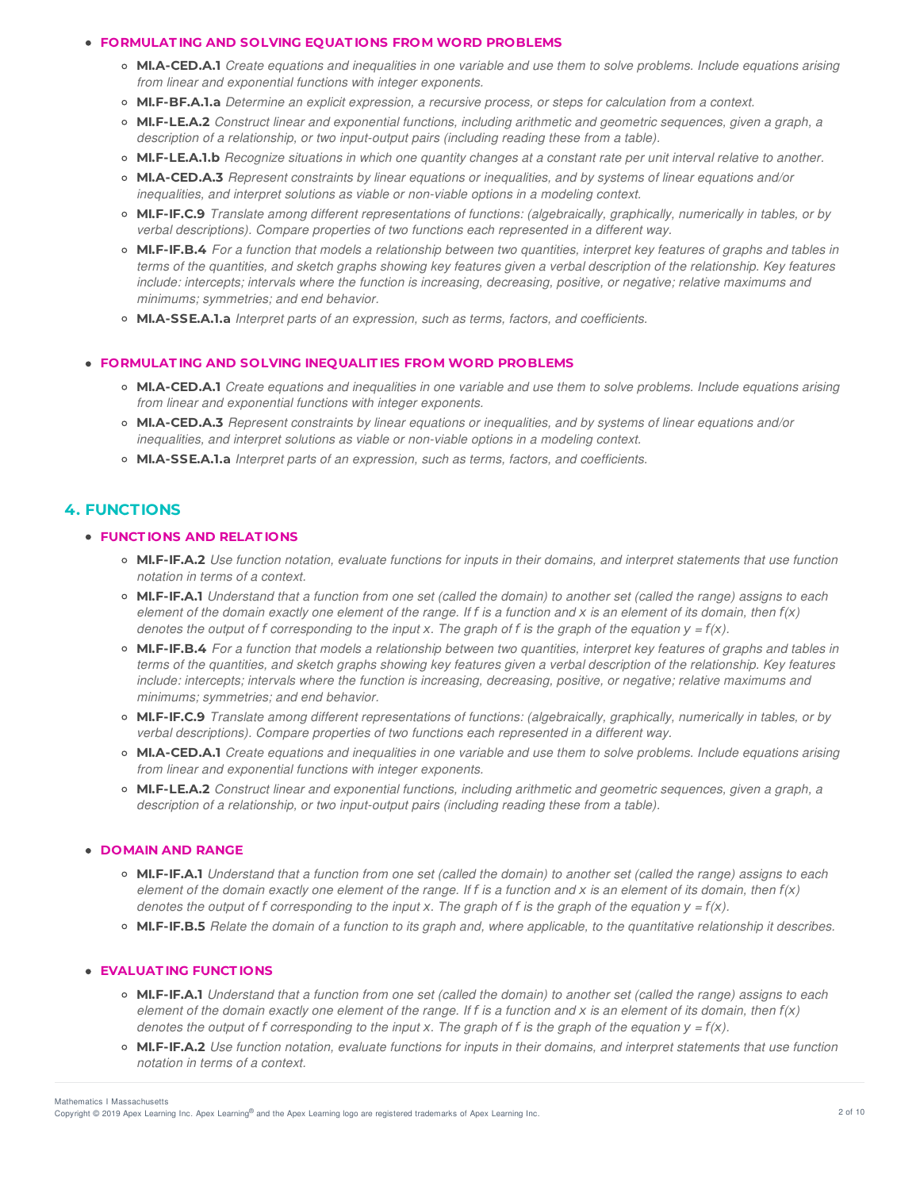### **FORMULAT ING AND SOLVING EQUAT IONS FROM WORD PROBLEMS**

- o MI.A-CED.A.1 Create equations and inequalities in one variable and use them to solve problems. Include equations arising *from linear and exponential functions with integer exponents.*
- **MI.F-BF.A.1.a** *Determine an explicit expression, a recursive process, or steps for calculation from a context.*
- **MI.F-LE.A.2** *Construct linear and exponential functions, including arithmetic and geometric sequences, given a graph, a description of a relationship, or two input-output pairs (including reading these from a table).*
- o MI.F-LE.A.1.b Recognize situations in which one quantity changes at a constant rate per unit interval relative to another.
- **MI.A-CED.A.3** *Represent constraints by linear equations or inequalities, and by systems of linear equations and/or inequalities, and interpret solutions as viable or non-viable options in a modeling context.*
- **MI.F-IF.C.9** *Translate among different representations of functions: (algebraically, graphically, numerically in tables, or by verbal descriptions). Compare properties of two functions each represented in a different way.*
- MI.F-IF.B.4 For a function that models a relationship between two quantities, interpret key features of graphs and tables in terms of the quantities, and sketch graphs showing key features given a verbal description of the relationship. Key features include: intercepts; intervals where the function is increasing, decreasing, positive, or negative; relative maximums and *minimums; symmetries; and end behavior.*
- **MI.A-SSE.A.1.a** *Interpret parts of an expression, such as terms, factors, and coefficients.*

## **FORMULAT ING AND SOLVING INEQUALIT IES FROM WORD PROBLEMS**

- MI.A-CED.A.1 Create equations and inequalities in one variable and use them to solve problems. Include equations arising *from linear and exponential functions with integer exponents.*
- **MI.A-CED.A.3** *Represent constraints by linear equations or inequalities, and by systems of linear equations and/or inequalities, and interpret solutions as viable or non-viable options in a modeling context.*
- **MI.A-SSE.A.1.a** *Interpret parts of an expression, such as terms, factors, and coefficients.*

# **4. FUNCTIONS**

### **FUNCT IONS AND RELAT IONS**

- o MI.F-IF.A.2 Use function notation, evaluate functions for inputs in their domains, and interpret statements that use function *notation in terms of a context.*
- MI.F-IF.A.1 Understand that a function from one set (called the domain) to another set (called the range) assigns to each element of the domain exactly one element of the range. If f is a function and x is an element of its domain, then  $f(x)$ denotes the output of f corresponding to the input x. The graph of f is the graph of the equation  $y = f(x)$ .
- MI.F-IF.B.4 For a function that models a relationship between two quantities, interpret key features of graphs and tables in terms of the quantities, and sketch graphs showing key features given a verbal description of the relationship. Key features include: intercepts; intervals where the function is increasing, decreasing, positive, or negative; relative maximums and *minimums; symmetries; and end behavior.*
- **MI.F-IF.C.9** *Translate among different representations of functions: (algebraically, graphically, numerically in tables, or by verbal descriptions). Compare properties of two functions each represented in a different way.*
- o MI.A-CED.A.1 Create equations and inequalities in one variable and use them to solve problems. Include equations arising *from linear and exponential functions with integer exponents.*
- **MI.F-LE.A.2** *Construct linear and exponential functions, including arithmetic and geometric sequences, given a graph, a description of a relationship, or two input-output pairs (including reading these from a table).*

## **DOMAIN AND RANGE**

- MI.F-IF.A.1 Understand that a function from one set (called the domain) to another set (called the range) assigns to each element of the domain exactly one element of the range. If f is a function and x is an element of its domain, then  $f(x)$ denotes the output of f corresponding to the input x. The graph of f is the graph of the equation  $y = f(x)$ .
- o MI.F-IF.B.5 Relate the domain of a function to its graph and, where applicable, to the quantitative relationship it describes.

## **EVALUAT ING FUNCT IONS**

- MI.F-IF.A.1 Understand that a function from one set (called the domain) to another set (called the range) assigns to each element of the domain exactly one element of the range. If f is a function and x is an element of its domain, then  $f(x)$ denotes the output of f corresponding to the input x. The graph of f is the graph of the equation  $y = f(x)$ .
- o MI.F-IF.A.2 Use function notation, evaluate functions for inputs in their domains, and interpret statements that use function *notation in terms of a context.*

Mathematics I Massachusetts

Copyright © 2019 Apex Learning Inc. Apex Learning® and the Apex Learning logo are registered trademarks of Apex Learning Inc. <br>Copyright © 2019 Apex Learning Inc. Apex Learning® and the Apex Learning Iogo are registered tr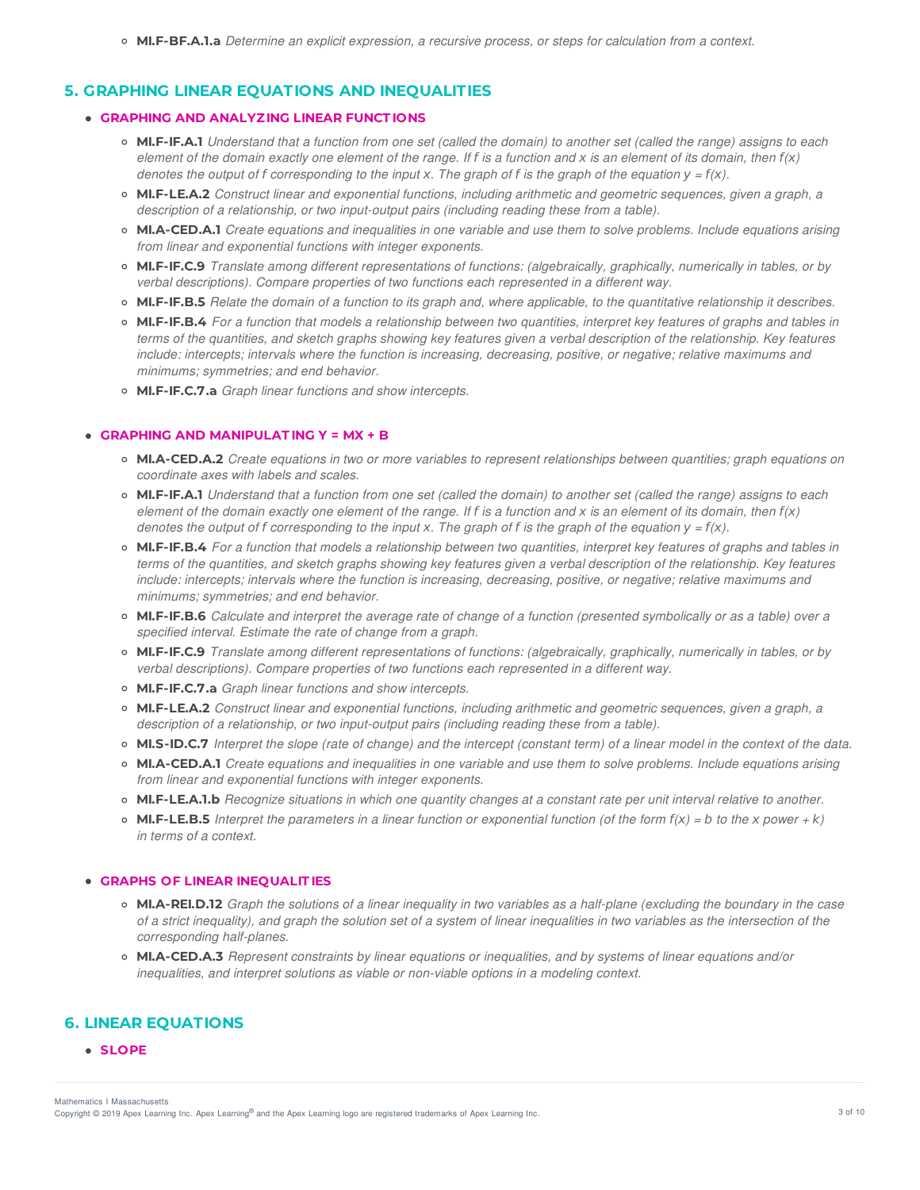# **5. GRAPHING LINEAR EQUATIONS AND INEQUALITIES**

## **GRAPHING AND ANALYZING LINEAR FUNCT IONS**

- o MI.F-IF.A.1 Understand that a function from one set (called the domain) to another set (called the range) assigns to each element of the domain exactly one element of the range. If f is a function and x is an element of its domain, then  $f(x)$ denotes the output of f corresponding to the input x. The graph of f is the graph of the equation  $y = f(x)$ .
- **MI.F-LE.A.2** *Construct linear and exponential functions, including arithmetic and geometric sequences, given a graph, a description of a relationship, or two input-output pairs (including reading these from a table).*
- o MI.A-CED.A.1 Create equations and inequalities in one variable and use them to solve problems. Include equations arising *from linear and exponential functions with integer exponents.*
- **MI.F-IF.C.9** *Translate among different representations of functions: (algebraically, graphically, numerically in tables, or by verbal descriptions). Compare properties of two functions each represented in a different way.*
- **MI.F-IF.B.5** Relate the domain of a function to its graph and, where applicable, to the quantitative relationship it describes.
- MI.F-IF.B.4 For a function that models a relationship between two quantities, interpret key features of graphs and tables in terms of the quantities, and sketch graphs showing key features given a verbal description of the relationship. Key features include: intercepts; intervals where the function is increasing, decreasing, positive, or negative; relative maximums and *minimums; symmetries; and end behavior.*
- **MI.F-IF.C.7.a** *Graph linear functions and show intercepts.*

## **GRAPHING AND MANIPULAT ING Y = MX + B**

- MI.A-CED.A.2 Create equations in two or more variables to represent relationships between quantities; graph equations on *coordinate axes with labels and scales.*
- MI.F-IF.A.1 Understand that a function from one set (called the domain) to another set (called the range) assigns to each element of the domain exactly one element of the range. If f is a function and x is an element of its domain, then  $f(x)$ denotes the output of f corresponding to the input x. The graph of f is the graph of the equation  $y = f(x)$ .
- MI.F-IF.B.4 For a function that models a relationship between two quantities, interpret key features of graphs and tables in terms of the quantities, and sketch graphs showing key features given a verbal description of the relationship. Key features include: intercepts; intervals where the function is increasing, decreasing, positive, or negative; relative maximums and *minimums; symmetries; and end behavior.*
- o MI.F-IF.B.6 Calculate and interpret the average rate of change of a function (presented symbolically or as a table) over a *specified interval. Estimate the rate of change from a graph.*
- **MI.F-IF.C.9** *Translate among different representations of functions: (algebraically, graphically, numerically in tables, or by verbal descriptions). Compare properties of two functions each represented in a different way.*
- **MI.F-IF.C.7.a** *Graph linear functions and show intercepts.*
- **MI.F-LE.A.2** *Construct linear and exponential functions, including arithmetic and geometric sequences, given a graph, a description of a relationship, or two input-output pairs (including reading these from a table).*
- o MI.S-ID.C.7 Interpret the slope (rate of change) and the intercept (constant term) of a linear model in the context of the data.
- MI.A-CED.A.1 Create equations and inequalities in one variable and use them to solve problems. Include equations arising *from linear and exponential functions with integer exponents.*
- MI.F-LE.A.1.b Recognize situations in which one quantity changes at a constant rate per unit interval relative to another.
- **MI.F-LE.B.5** Interpret the parameters in a linear function or exponential function (of the form  $f(x) = b$  to the x power + k) *in terms of a context.*

## **GRAPHS OF LINEAR INEQUALIT IES**

- **MI.A-REI.D.12** Graph the solutions of a linear inequality in two variables as a half-plane (excluding the boundary in the case of a strict inequality), and graph the solution set of a system of linear inequalities in two variables as the intersection of the *corresponding half-planes.*
- **MI.A-CED.A.3** *Represent constraints by linear equations or inequalities, and by systems of linear equations and/or inequalities, and interpret solutions as viable or non-viable options in a modeling context.*

# **6. LINEAR EQUATIONS**

**SLOPE**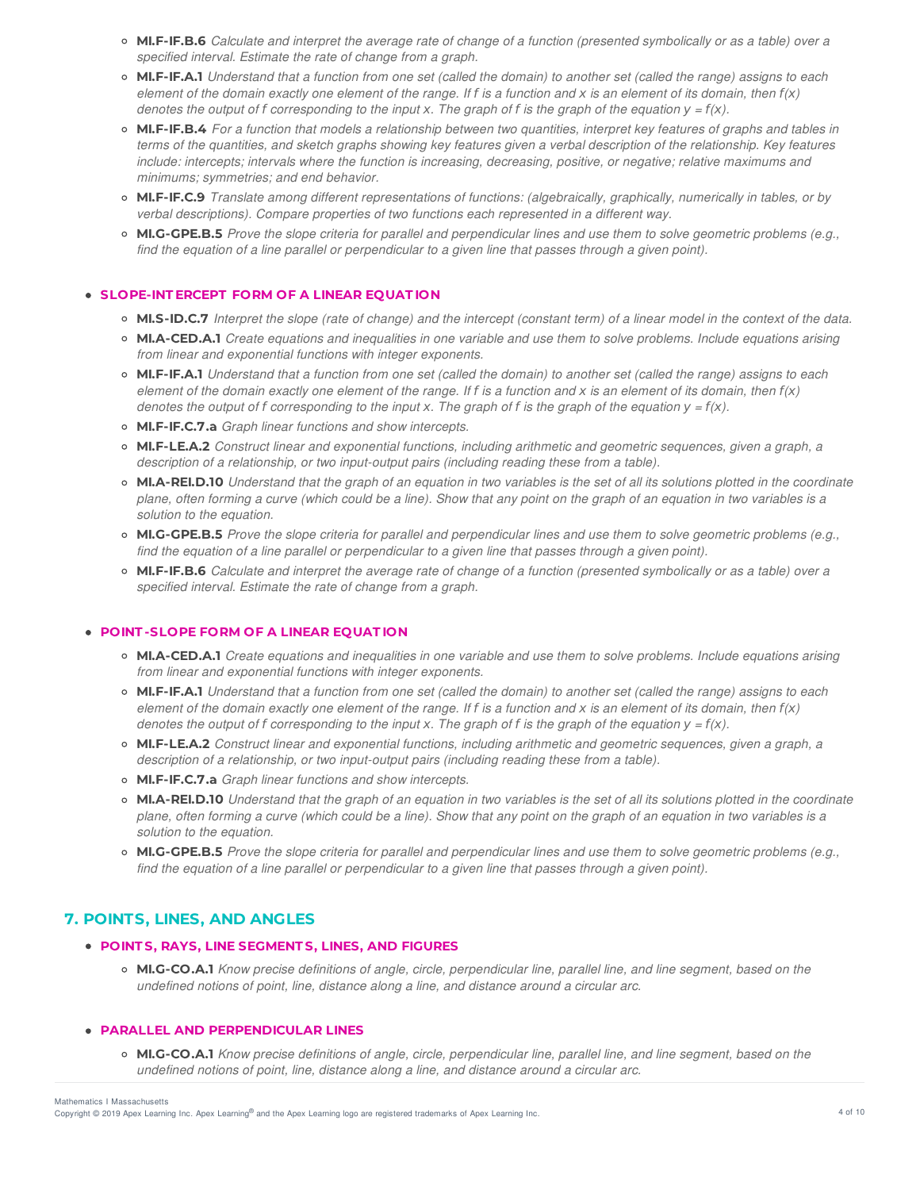- MI.F-IF.B.6 Calculate and interpret the average rate of change of a function (presented symbolically or as a table) over a *specified interval. Estimate the rate of change from a graph.*
- o MI.F-IF.A.1 Understand that a function from one set (called the domain) to another set (called the range) assigns to each element of the domain exactly one element of the range. If f is a function and x is an element of its domain, then  $f(x)$ denotes the output of f corresponding to the input x. The graph of f is the graph of the equation  $y = f(x)$ .
- o MI.F-IF.B.4 For a function that models a relationship between two quantities, interpret key features of graphs and tables in terms of the quantities, and sketch graphs showing key features given a verbal description of the relationship. Key features include: intercepts; intervals where the function is increasing, decreasing, positive, or negative; relative maximums and *minimums; symmetries; and end behavior.*
- **MI.F-IF.C.9** *Translate among different representations of functions: (algebraically, graphically, numerically in tables, or by verbal descriptions). Compare properties of two functions each represented in a different way.*
- o MI.G-GPE.B.5 Prove the slope criteria for parallel and perpendicular lines and use them to solve geometric problems (e.g., find the equation of a line parallel or perpendicular to a given line that passes through a given point).

### **SLOPE-INT ERCEPT FORM OF A LINEAR EQUAT ION**

- o MI.S-ID.C.7 Interpret the slope (rate of change) and the intercept (constant term) of a linear model in the context of the data.
- o MI.A-CED.A.1 Create equations and inequalities in one variable and use them to solve problems. Include equations arising *from linear and exponential functions with integer exponents.*
- o MI.F-IF.A.1 Understand that a function from one set (called the domain) to another set (called the range) assigns to each element of the domain exactly one element of the range. If f is a function and x is an element of its domain, then  $f(x)$ denotes the output of f corresponding to the input x. The graph of f is the graph of the equation  $y = f(x)$ .
- **MI.F-IF.C.7.a** *Graph linear functions and show intercepts.*
- **MI.F-LE.A.2** *Construct linear and exponential functions, including arithmetic and geometric sequences, given a graph, a description of a relationship, or two input-output pairs (including reading these from a table).*
- MI.A-REI.D.10 Understand that the graph of an equation in two variables is the set of all its solutions plotted in the coordinate plane, often forming a curve (which could be a line). Show that any point on the graph of an equation in two variables is a *solution to the equation.*
- MI.G-GPE.B.5 Prove the slope criteria for parallel and perpendicular lines and use them to solve geometric problems (e.g., find the equation of a line parallel or perpendicular to a given line that passes through a given point).
- o MI.F-IF.B.6 Calculate and interpret the average rate of change of a function (presented symbolically or as a table) over a *specified interval. Estimate the rate of change from a graph.*

#### **POINT -SLOPE FORM OF A LINEAR EQUAT ION**

- MI.A-CED.A.1 Create equations and inequalities in one variable and use them to solve problems. Include equations arising *from linear and exponential functions with integer exponents.*
- MI.F-IF.A.1 Understand that a function from one set (called the domain) to another set (called the range) assigns to each element of the domain exactly one element of the range. If f is a function and x is an element of its domain, then  $f(x)$ denotes the output of f corresponding to the input x. The graph of f is the graph of the equation  $y = f(x)$ .
- **MI.F-LE.A.2** *Construct linear and exponential functions, including arithmetic and geometric sequences, given a graph, a description of a relationship, or two input-output pairs (including reading these from a table).*
- **MI.F-IF.C.7.a** *Graph linear functions and show intercepts.*
- **MI.A-REI.D.10** Understand that the graph of an equation in two variables is the set of all its solutions plotted in the coordinate plane, often forming a curve (which could be a line). Show that any point on the graph of an equation in two variables is a *solution to the equation.*
- o MI.G-GPE.B.5 Prove the slope criteria for parallel and perpendicular lines and use them to solve geometric problems (e.g., find the equation of a line parallel or perpendicular to a given line that passes through a given point).

# **7. POINTS, LINES, AND ANGLES**

### **POINT S, RAYS, LINE SEGMENT S, LINES, AND FIGURES**

o MI.G-CO.A.1 Know precise definitions of angle, circle, perpendicular line, parallel line, and line segment, based on the *undefined notions of point, line, distance along a line, and distance around a circular arc.*

#### **PARALLEL AND PERPENDICULAR LINES**

○ MI.G-CO.A.1 Know precise definitions of angle, circle, perpendicular line, parallel line, and line segment, based on the *undefined notions of point, line, distance along a line, and distance around a circular arc.*

Copyright © 2019 Apex Learning Inc. Apex Learning® and the Apex Learning logo are registered trademarks of Apex Learning Inc. 4 of 10 and the Apex Learning Inc. Mathematics I Massachusetts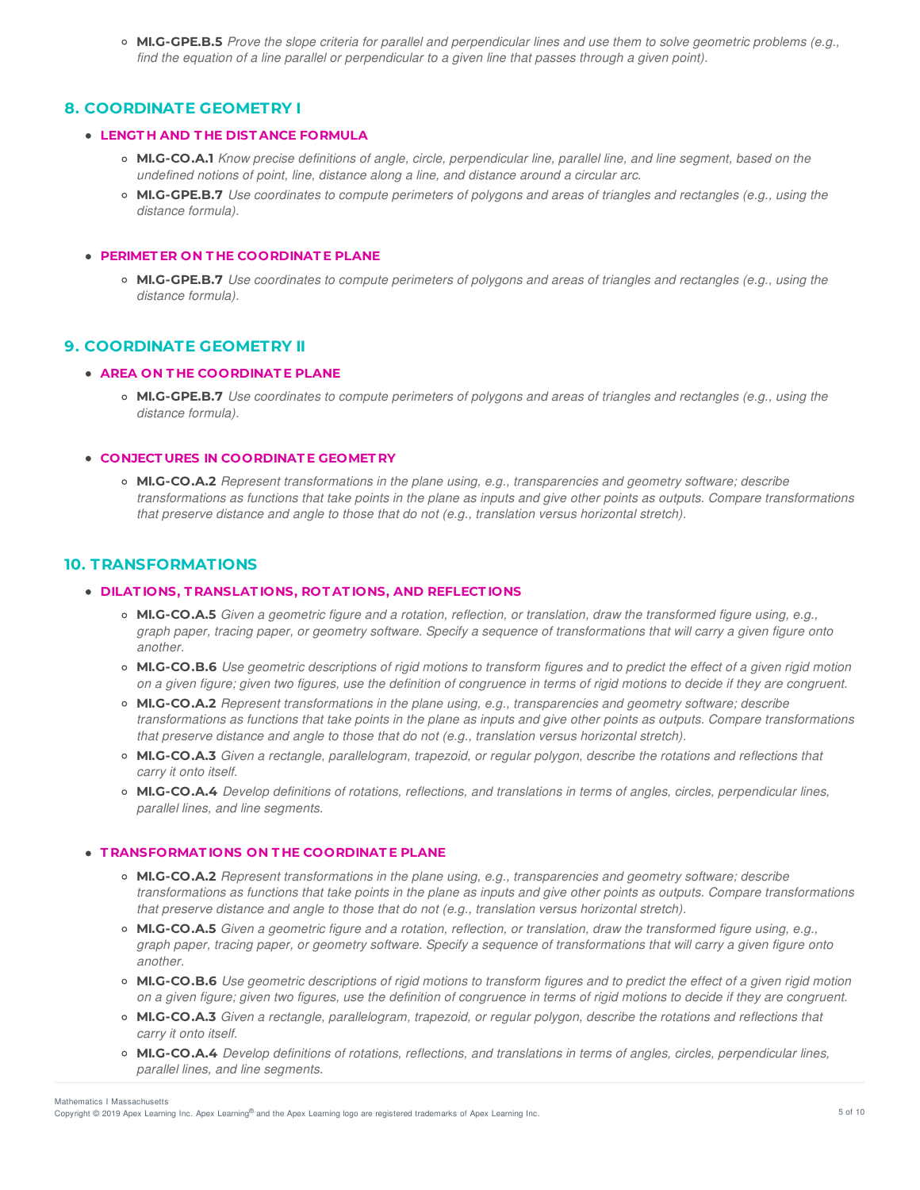o MI.G-GPE.B.5 Prove the slope criteria for parallel and perpendicular lines and use them to solve geometric problems (e.g., find the equation of a line parallel or perpendicular to a given line that passes through a given point).

# **8. COORDINATE GEOMETRY I**

### **LENGT H AND T HE DIST ANCE FORMULA**

- o MI.G-CO.A.1 Know precise definitions of angle, circle, perpendicular line, parallel line, and line segment, based on the *undefined notions of point, line, distance along a line, and distance around a circular arc.*
- o MI.G-GPE.B.7 Use coordinates to compute perimeters of polygons and areas of triangles and rectangles (e.g., using the *distance formula).*

## **PERIMET ER ON T HE COORDINAT E PLANE**

o MI.G-GPE.B.7 Use coordinates to compute perimeters of polygons and areas of triangles and rectangles (e.g., using the *distance formula).*

# **9. COORDINATE GEOMETRY II**

### **AREA ON T HE COORDINAT E PLANE**

• MI.G-GPE.B.7 Use coordinates to compute perimeters of polygons and areas of triangles and rectangles (e.g., using the *distance formula).*

### **CONJECT URES IN COORDINAT E GEOMET RY**

**MI.G-CO.A.2** *Represent transformations in the plane using, e.g., transparencies and geometry software; describe* transformations as functions that take points in the plane as inputs and give other points as outputs. Compare transformations *that preserve distance and angle to those that do not (e.g., translation versus horizontal stretch).*

# **10. TRANSFORMATIONS**

### **DILAT IONS, T RANSLAT IONS, ROT AT IONS, AND REFLECT IONS**

- MI.G-CO.A.5 Given a geometric figure and a rotation, reflection, or translation, draw the transformed figure using, e.g., graph paper, tracing paper, or geometry software. Specify a sequence of transformations that will carry a given figure onto *another.*
- MI.G-CO.B.6 Use geometric descriptions of rigid motions to transform figures and to predict the effect of a given rigid motion on a given figure; given two figures, use the definition of congruence in terms of rigid motions to decide if they are congruent.
- **MI.G-CO.A.2** *Represent transformations in the plane using, e.g., transparencies and geometry software; describe* transformations as functions that take points in the plane as inputs and give other points as outputs. Compare transformations *that preserve distance and angle to those that do not (e.g., translation versus horizontal stretch).*
- MI.G-CO.A.3 Given a rectangle, parallelogram, trapezoid, or regular polygon, describe the rotations and reflections that *carry it onto itself.*
- o MI.G-CO.A.4 Develop definitions of rotations, reflections, and translations in terms of angles, circles, perpendicular lines, *parallel lines, and line segments.*

### **T RANSFORMAT IONS ON T HE COORDINAT E PLANE**

- **MI.G-CO.A.2** *Represent transformations in the plane using, e.g., transparencies and geometry software; describe* transformations as functions that take points in the plane as inputs and give other points as outputs. Compare transformations *that preserve distance and angle to those that do not (e.g., translation versus horizontal stretch).*
- MI.G-CO.A.5 Given a geometric figure and a rotation, reflection, or translation, draw the transformed figure using, e.g., graph paper, tracing paper, or geometry software. Specify a sequence of transformations that will carry a given figure onto *another.*
- o MI.G-CO.B.6 Use geometric descriptions of rigid motions to transform figures and to predict the effect of a given rigid motion on a given figure; given two figures, use the definition of congruence in terms of rigid motions to decide if they are congruent.
- o MI.G-CO.A.3 Given a rectangle, parallelogram, trapezoid, or regular polygon, describe the rotations and reflections that *carry it onto itself.*
- o MI.G-CO.A.4 Develop definitions of rotations, reflections, and translations in terms of angles, circles, perpendicular lines, *parallel lines, and line segments.*

Mathematics I Massachusetts

Copyright © 2019 Apex Learning Inc. Apex Learning® and the Apex Learning logo are registered trademarks of Apex Learning Inc. <br>Copyright © 2019 Apex Learning Inc. Apex Learning® and the Apex Learning Iogo are registered tr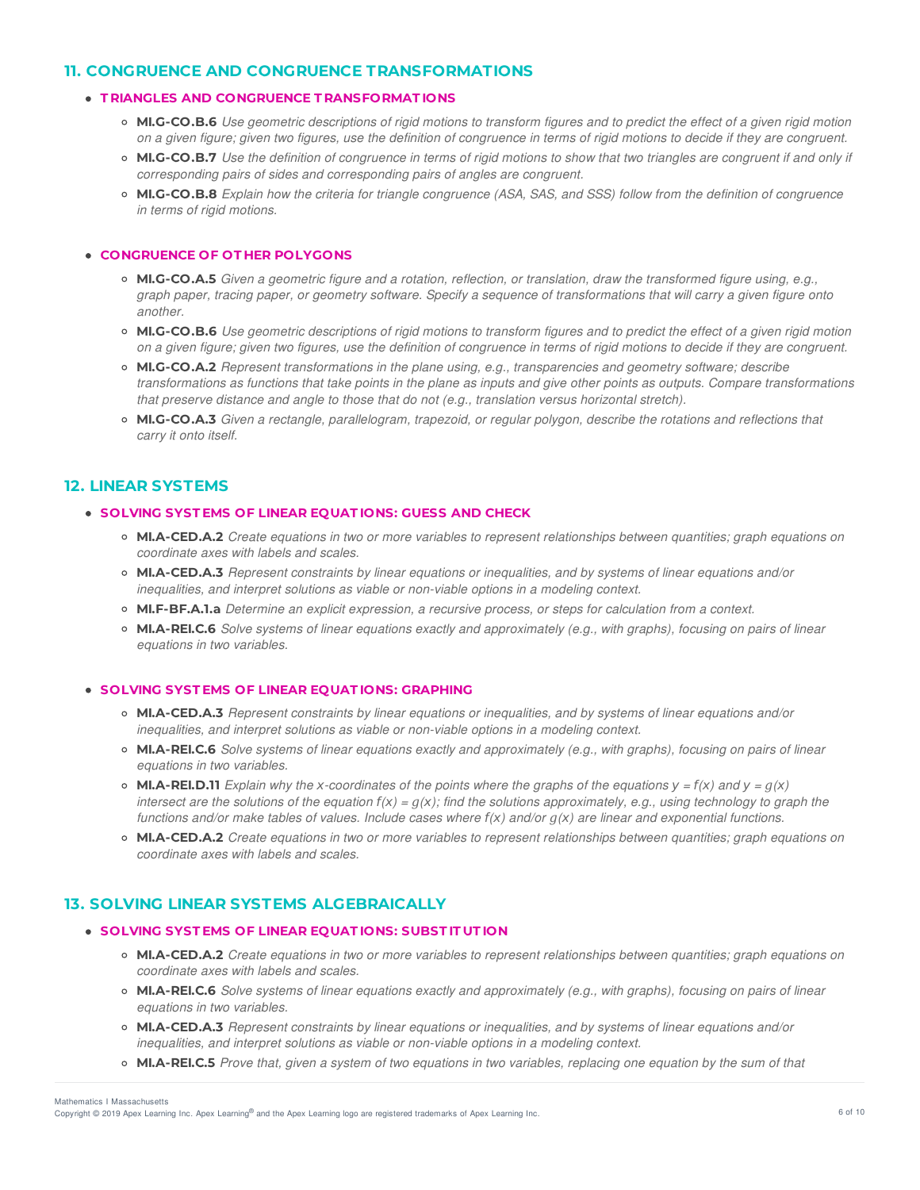# **11. CONGRUENCE AND CONGRUENCE TRANSFORMATIONS**

## **T RIANGLES AND CONGRUENCE T RANSFORMAT IONS**

- MI.G-CO.B.6 Use geometric descriptions of rigid motions to transform figures and to predict the effect of a given rigid motion on a given figure; given two figures, use the definition of congruence in terms of rigid motions to decide if they are congruent.
- MI.G-CO.B.7 Use the definition of congruence in terms of rigid motions to show that two triangles are congruent if and only if *corresponding pairs of sides and corresponding pairs of angles are congruent.*
- MI.G-CO.B.8 Explain how the criteria for triangle congruence (ASA, SAS, and SSS) follow from the definition of congruence *in terms of rigid motions.*

## **CONGRUENCE OF OT HER POLYGONS**

- MLG-CO.A.5 Given a geometric figure and a rotation, reflection, or translation, draw the transformed figure using, e.g., graph paper, tracing paper, or geometry software. Specify a sequence of transformations that will carry a given figure onto *another.*
- MI.G-CO.B.6 Use geometric descriptions of rigid motions to transform figures and to predict the effect of a given rigid motion on a given figure; given two figures, use the definition of congruence in terms of rigid motions to decide if they are congruent.
- **MI.G-CO.A.2** *Represent transformations in the plane using, e.g., transparencies and geometry software; describe* transformations as functions that take points in the plane as inputs and give other points as outputs. Compare transformations *that preserve distance and angle to those that do not (e.g., translation versus horizontal stretch).*
- MI.G-CO.A.3 Given a rectangle, parallelogram, trapezoid, or regular polygon, describe the rotations and reflections that *carry it onto itself.*

## **12. LINEAR SYSTEMS**

## **SOLVING SYST EMS OF LINEAR EQUAT IONS: GUESS AND CHECK**

- o MI.A-CED.A.2 Create equations in two or more variables to represent relationships between quantities; graph equations on *coordinate axes with labels and scales.*
- **MI.A-CED.A.3** *Represent constraints by linear equations or inequalities, and by systems of linear equations and/or inequalities, and interpret solutions as viable or non-viable options in a modeling context.*
- **MI.F-BF.A.1.a** *Determine an explicit expression, a recursive process, or steps for calculation from a context.*
- o MI.A-REI.C.6 Solve systems of linear equations exactly and approximately (e.g., with graphs), focusing on pairs of linear *equations in two variables.*

#### **SOLVING SYST EMS OF LINEAR EQUAT IONS: GRAPHING**

- **MI.A-CED.A.3** *Represent constraints by linear equations or inequalities, and by systems of linear equations and/or inequalities, and interpret solutions as viable or non-viable options in a modeling context.*
- MI.A-REI.C.6 Solve systems of linear equations exactly and approximately (e.g., with graphs), focusing on pairs of linear *equations in two variables.*
- **MI.A-REI.D.11** Explain why the x-coordinates of the points where the graphs of the equations  $y = f(x)$  and  $y = g(x)$ intersect are the solutions of the equation  $f(x) = g(x)$ ; find the solutions approximately, e.g., using technology to graph the functions and/or make tables of values. Include cases where  $f(x)$  and/or  $g(x)$  are linear and exponential functions.
- MI.A-CED.A.2 Create equations in two or more variables to represent relationships between quantities; graph equations on *coordinate axes with labels and scales.*

# **13. SOLVING LINEAR SYSTEMS ALGEBRAICALLY**

### **SOLVING SYST EMS OF LINEAR EQUAT IONS: SUBST IT UT ION**

- MI.A-CED.A.2 Create equations in two or more variables to represent relationships between quantities; graph equations on *coordinate axes with labels and scales.*
- MI.A-REI.C.6 Solve systems of linear equations exactly and approximately (e.g., with graphs), focusing on pairs of linear *equations in two variables.*
- **MI.A-CED.A.3** *Represent constraints by linear equations or inequalities, and by systems of linear equations and/or inequalities, and interpret solutions as viable or non-viable options in a modeling context.*
- **MI.A-REI.C.5** Prove that, given a system of two equations in two variables, replacing one equation by the sum of that

Mathematics I Massachusetts

Copyright © 2019 Apex Learning Inc. Apex Learning® and the Apex Learning logo are registered trademarks of Apex Learning Inc. <br>Copyright © 2019 Apex Learning Inc. Apex Learning® and the Apex Learning Iogo are registered tr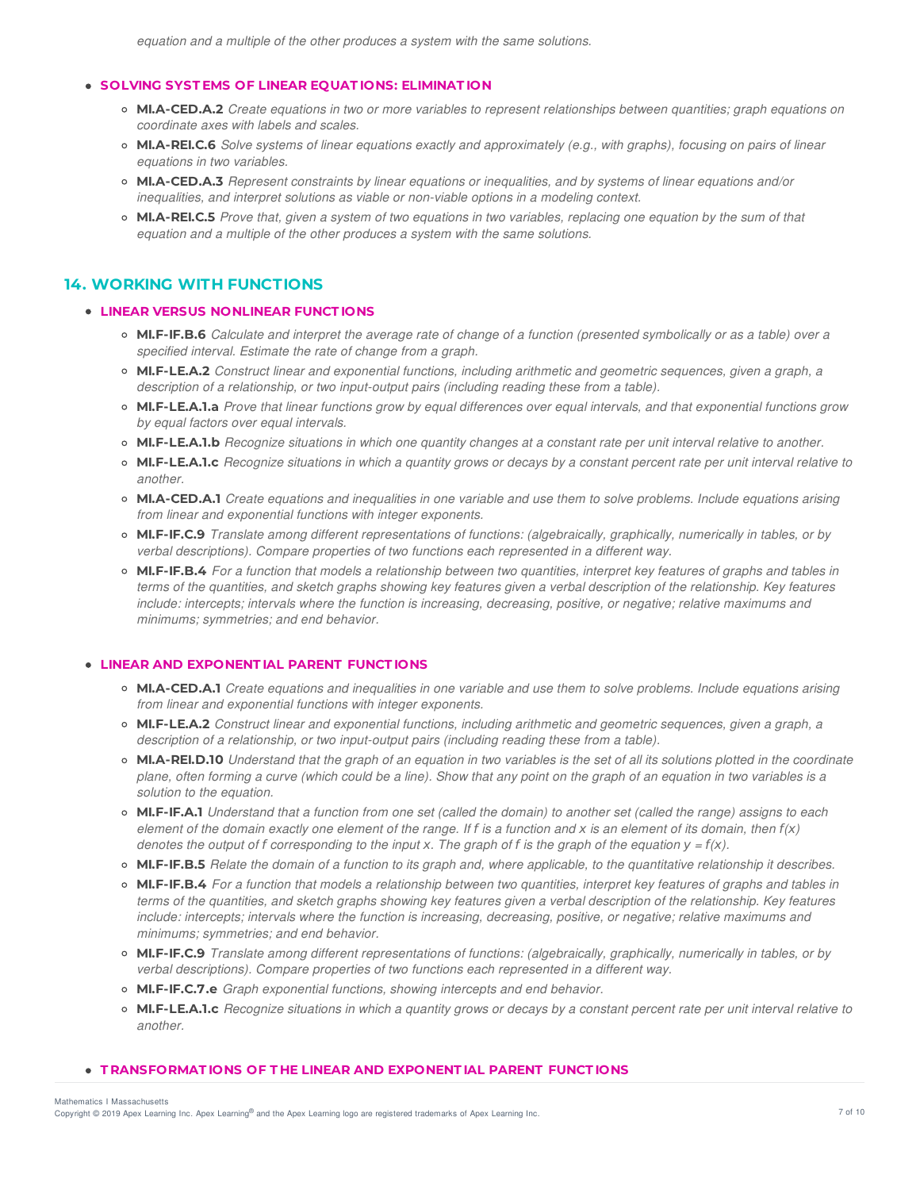## **SOLVING SYST EMS OF LINEAR EQUAT IONS: ELIMINAT ION**

- MI.A-CED.A.2 Create equations in two or more variables to represent relationships between quantities; graph equations on *coordinate axes with labels and scales.*
- MI.A-REI.C.6 Solve systems of linear equations exactly and approximately (e.g., with graphs), focusing on pairs of linear *equations in two variables.*
- **MI.A-CED.A.3** *Represent constraints by linear equations or inequalities, and by systems of linear equations and/or inequalities, and interpret solutions as viable or non-viable options in a modeling context.*
- MI.A-REI.C.5 Prove that, given a system of two equations in two variables, replacing one equation by the sum of that *equation and a multiple of the other produces a system with the same solutions.*

# **14. WORKING WITH FUNCTIONS**

### **LINEAR VERSUS NONLINEAR FUNCT IONS**

- MI.F-IF.B.6 Calculate and interpret the average rate of change of a function (presented symbolically or as a table) over a *specified interval. Estimate the rate of change from a graph.*
- **MI.F-LE.A.2** *Construct linear and exponential functions, including arithmetic and geometric sequences, given a graph, a description of a relationship, or two input-output pairs (including reading these from a table).*
- o MI.F-LE.A.1.a Prove that linear functions grow by equal differences over equal intervals, and that exponential functions grow *by equal factors over equal intervals.*
- o MI.F-LE.A.1.b Recognize situations in which one quantity changes at a constant rate per unit interval relative to another.
- o MI.F-LE.A.1.c Recognize situations in which a quantity grows or decays by a constant percent rate per unit interval relative to *another.*
- MI.A-CED.A.1 Create equations and inequalities in one variable and use them to solve problems. Include equations arising *from linear and exponential functions with integer exponents.*
- **MI.F-IF.C.9** *Translate among different representations of functions: (algebraically, graphically, numerically in tables, or by verbal descriptions). Compare properties of two functions each represented in a different way.*
- o MI.F-IF.B.4 For a function that models a relationship between two quantities, interpret key features of graphs and tables in terms of the quantities, and sketch graphs showing key features given a verbal description of the relationship. Key features include: intercepts; intervals where the function is increasing, decreasing, positive, or negative; relative maximums and *minimums; symmetries; and end behavior.*

## **LINEAR AND EXPONENT IAL PARENT FUNCT IONS**

- o MI.A-CED.A.1 Create equations and inequalities in one variable and use them to solve problems. Include equations arising *from linear and exponential functions with integer exponents.*
- **MI.F-LE.A.2** *Construct linear and exponential functions, including arithmetic and geometric sequences, given a graph, a description of a relationship, or two input-output pairs (including reading these from a table).*
- o MI.A-REI.D.10 Understand that the graph of an equation in two variables is the set of all its solutions plotted in the coordinate plane, often forming a curve (which could be a line). Show that any point on the graph of an equation in two variables is a *solution to the equation.*
- MI.F-IF.A.1 Understand that a function from one set (called the domain) to another set (called the range) assigns to each element of the domain exactly one element of the range. If f is a function and x is an element of its domain, then  $f(x)$ denotes the output of f corresponding to the input x. The graph of f is the graph of the equation  $y = f(x)$ .
- MI.F-IF.B.5 Relate the domain of a function to its graph and, where applicable, to the quantitative relationship it describes.
- MI.F-IF.B.4 For a function that models a relationship between two quantities, interpret key features of graphs and tables in terms of the quantities, and sketch graphs showing key features given a verbal description of the relationship. Key features include: intercepts; intervals where the function is increasing, decreasing, positive, or negative; relative maximums and *minimums; symmetries; and end behavior.*
- **MI.F-IF.C.9** *Translate among different representations of functions: (algebraically, graphically, numerically in tables, or by verbal descriptions). Compare properties of two functions each represented in a different way.*
- **MI.F-IF.C.7.e** *Graph exponential functions, showing intercepts and end behavior.*
- MI.F-LE.A.1.c Recognize situations in which a quantity grows or decays by a constant percent rate per unit interval relative to *another.*

## **T RANSFORMAT IONS OF T HE LINEAR AND EXPONENT IAL PARENT FUNCT IONS**

Copyright © 2019 Apex Learning Inc. Apex Learning® and the Apex Learning logo are registered trademarks of Apex Learning Inc. <br>Copyright © 2019 Apex Learning Inc. Apex Learning® and the Apex Learning Iogo are registered tr Mathematics I Massachusetts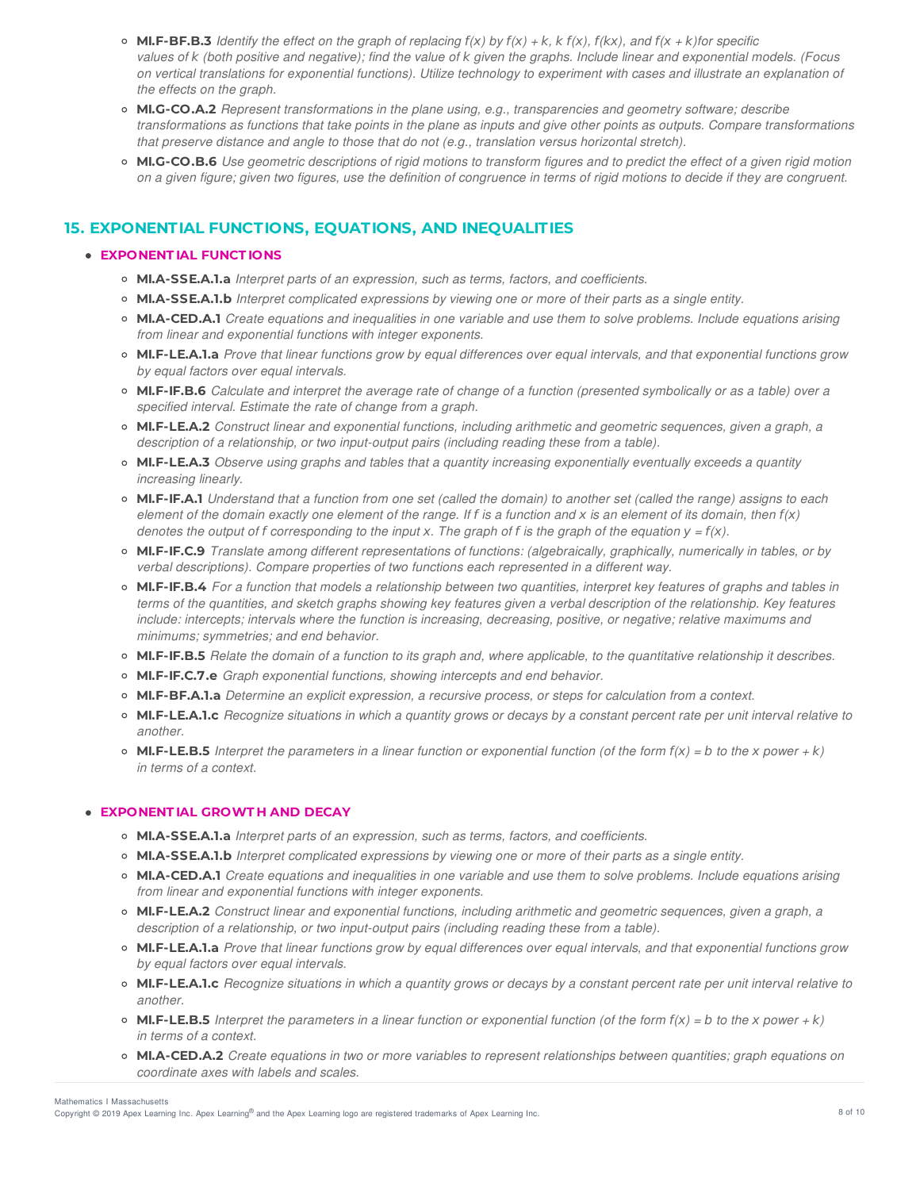- **MI.F-BF.B.3** Identify the effect on the graph of replacing  $f(x)$  by  $f(x) + k$ ,  $k f(x)$ ,  $f(kx)$ , and  $f(x + k)$ for specific values of k (both positive and negative); find the value of k given the graphs. Include linear and exponential models. (Focus on vertical translations for exponential functions). Utilize technology to experiment with cases and illustrate an explanation of *the effects on the graph.*
- **MI.G-CO.A.2** *Represent transformations in the plane using, e.g., transparencies and geometry software; describe* transformations as functions that take points in the plane as inputs and give other points as outputs. Compare transformations *that preserve distance and angle to those that do not (e.g., translation versus horizontal stretch).*
- MI.G-CO.B.6 Use aeometric descriptions of rigid motions to transform figures and to predict the effect of a given rigid motion on a given figure; given two figures, use the definition of congruence in terms of rigid motions to decide if they are congruent.

# **15. EXPONENTIAL FUNCTIONS, EQUATIONS, AND INEQUALITIES**

## **EXPONENT IAL FUNCT IONS**

- **MI.A-SSE.A.1.a** *Interpret parts of an expression, such as terms, factors, and coefficients.*
- **MI.A-SSE.A.1.b** *Interpret complicated expressions by viewing one or more of their parts as a single entity.*
- o MI.A-CED.A.1 Create equations and inequalities in one variable and use them to solve problems. Include equations arising *from linear and exponential functions with integer exponents.*
- o MI.F-LE.A.1.a Prove that linear functions grow by equal differences over equal intervals, and that exponential functions grow *by equal factors over equal intervals.*
- o MI.F-IF.B.6 Calculate and interpret the average rate of change of a function (presented symbolically or as a table) over a *specified interval. Estimate the rate of change from a graph.*
- **MI.F-LE.A.2** *Construct linear and exponential functions, including arithmetic and geometric sequences, given a graph, a description of a relationship, or two input-output pairs (including reading these from a table).*
- **MI.F-LE.A.3** *Observe using graphs and tables that a quantity increasing exponentially eventually exceeds a quantity increasing linearly.*
- MI.F-IF.A.1 Understand that a function from one set (called the domain) to another set (called the range) assigns to each element of the domain exactly one element of the range. If f is a function and x is an element of its domain, then  $f(x)$ denotes the output of f corresponding to the input x. The graph of f is the graph of the equation  $y = f(x)$ .
- **MI.F-IF.C.9** *Translate among different representations of functions: (algebraically, graphically, numerically in tables, or by verbal descriptions). Compare properties of two functions each represented in a different way.*
- MI.F-IF.B.4 For a function that models a relationship between two quantities, interpret key features of graphs and tables in terms of the quantities, and sketch graphs showing key features given a verbal description of the relationship. Key features include: intercepts; intervals where the function is increasing, decreasing, positive, or negative; relative maximums and *minimums; symmetries; and end behavior.*
- MI.F-IF.B.5 Relate the domain of a function to its graph and, where applicable, to the quantitative relationship it describes.
- **MI.F-IF.C.7.e** *Graph exponential functions, showing intercepts and end behavior.*
- **MI.F-BF.A.1.a** *Determine an explicit expression, a recursive process, or steps for calculation from a context.*
- MI.F-LE.A.1.c Recognize situations in which a quantity grows or decays by a constant percent rate per unit interval relative to *another.*
- **MI.F-LE.B.5** Interpret the parameters in a linear function or exponential function (of the form  $f(x) = b$  to the x power + k) *in terms of a context.*

# **EXPONENT IAL GROWT H AND DECAY**

- **MI.A-SSE.A.1.a** *Interpret parts of an expression, such as terms, factors, and coefficients.*
- **MI.A-SSE.A.1.b** *Interpret complicated expressions by viewing one or more of their parts as a single entity.*
- MI.A-CED.A.1 Create equations and inequalities in one variable and use them to solve problems. Include equations arising *from linear and exponential functions with integer exponents.*
- **MI.F-LE.A.2** *Construct linear and exponential functions, including arithmetic and geometric sequences, given a graph, a description of a relationship, or two input-output pairs (including reading these from a table).*
- MI.F-LE.A.1.a Prove that linear functions grow by equal differences over equal intervals, and that exponential functions grow *by equal factors over equal intervals.*
- MI.F-LE.A.1.c Recognize situations in which a quantity grows or decays by a constant percent rate per unit interval relative to *another.*
- **MI.F-LE.B.5** Interpret the parameters in a linear function or exponential function (of the form  $f(x) = b$  to the x power + k) *in terms of a context.*
- o MI.A-CED.A.2 Create equations in two or more variables to represent relationships between quantities; graph equations on *coordinate axes with labels and scales.*

Mathematics I Massachusetts

Copyright © 2019 Apex Learning Inc. Apex Learning® and the Apex Learning logo are registered trademarks of Apex Learning Inc. **According the Apex Learning Inc.** 8 of 10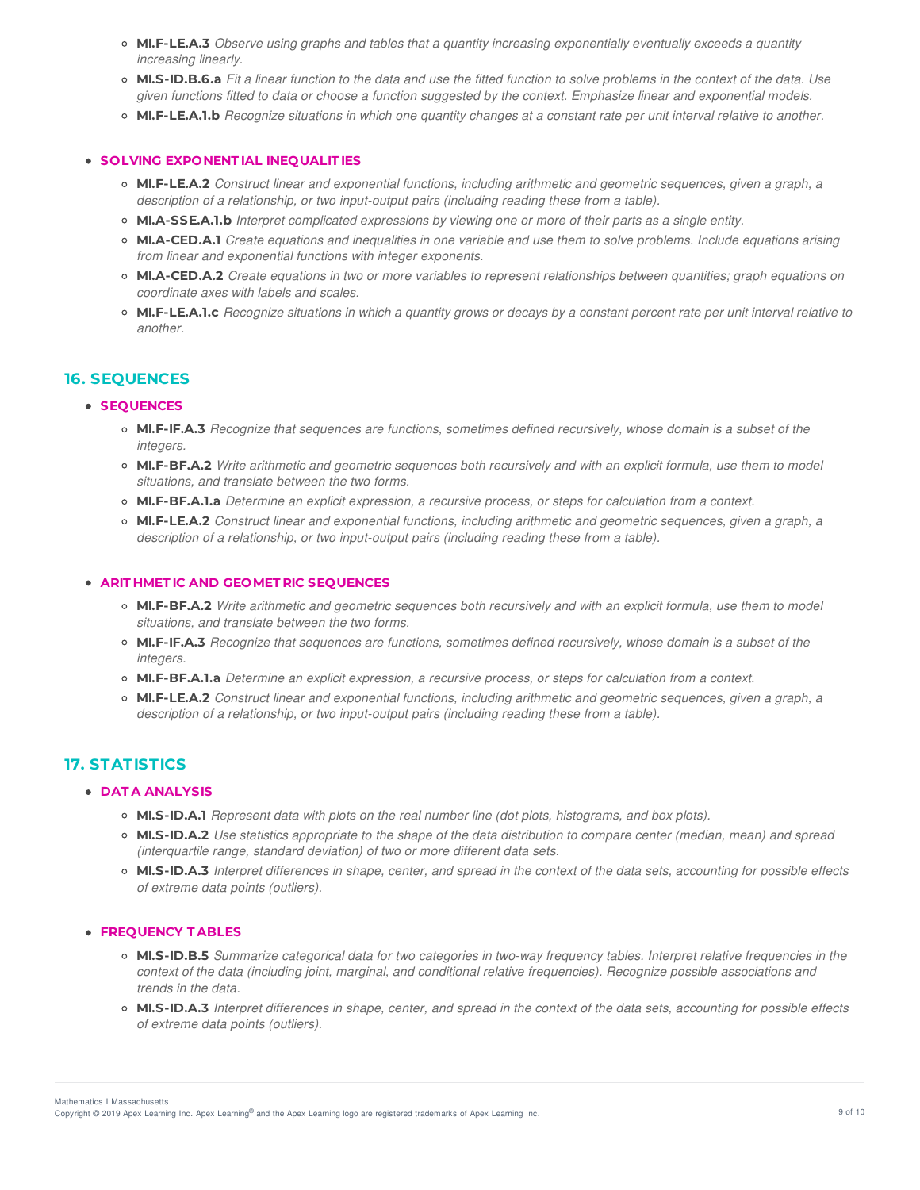- **MI.F-LE.A.3** *Observe using graphs and tables that a quantity increasing exponentially eventually exceeds a quantity increasing linearly.*
- MI.S-ID.B.6.a Fit a linear function to the data and use the fitted function to solve problems in the context of the data. Use given functions fitted to data or choose a function suggested by the context. Emphasize linear and exponential models.
- o MI.F-LE.A.1.b Recognize situations in which one quantity changes at a constant rate per unit interval relative to another.

## **SOLVING EXPONENT IAL INEQUALIT IES**

- **MI.F-LE.A.2** *Construct linear and exponential functions, including arithmetic and geometric sequences, given a graph, a description of a relationship, or two input-output pairs (including reading these from a table).*
- **MI.A-SSE.A.1.b** *Interpret complicated expressions by viewing one or more of their parts as a single entity.*
- MI.A-CED.A.1 Create equations and inequalities in one variable and use them to solve problems. Include equations arising *from linear and exponential functions with integer exponents.*
- MI.A-CED.A.2 Create equations in two or more variables to represent relationships between quantities; graph equations on *coordinate axes with labels and scales.*
- MI.F-LE.A.1.c Recognize situations in which a quantity grows or decays by a constant percent rate per unit interval relative to *another.*

# **16. SEQUENCES**

### **SEQUENCES**

- o MI.F-IF.A.3 Recognize that sequences are functions, sometimes defined recursively, whose domain is a subset of the *integers.*
- o MI.F-BF.A.2 Write arithmetic and geometric sequences both recursively and with an explicit formula, use them to model *situations, and translate between the two forms.*
- **MI.F-BF.A.1.a** *Determine an explicit expression, a recursive process, or steps for calculation from a context.*
- **MI.F-LE.A.2** *Construct linear and exponential functions, including arithmetic and geometric sequences, given a graph, a description of a relationship, or two input-output pairs (including reading these from a table).*

#### **ARIT HMET IC AND GEOMET RIC SEQUENCES**

- o MI.F-BF.A.2 Write arithmetic and geometric sequences both recursively and with an explicit formula, use them to model *situations, and translate between the two forms.*
- o MI.F-IF.A.3 Recognize that sequences are functions, sometimes defined recursively, whose domain is a subset of the *integers.*
- **MI.F-BF.A.1.a** *Determine an explicit expression, a recursive process, or steps for calculation from a context.*
- **MI.F-LE.A.2** *Construct linear and exponential functions, including arithmetic and geometric sequences, given a graph, a description of a relationship, or two input-output pairs (including reading these from a table).*

# **17. STATISTICS**

### **DAT A ANALYSIS**

- **MI.S-ID.A.1** *Represent data with plots on the real number line (dot plots, histograms, and box plots).*
- o MI.S-ID.A.2 Use statistics appropriate to the shape of the data distribution to compare center (median, mean) and spread *(interquartile range, standard deviation) of two or more different data sets.*
- o MI.S-ID.A.3 Interpret differences in shape, center, and spread in the context of the data sets, accounting for possible effects *of extreme data points (outliers).*

### **FREQUENCY T ABLES**

- o MI.S-ID.B.5 Summarize categorical data for two categories in two-way frequency tables. Interpret relative frequencies in the context of the data (including joint, marginal, and conditional relative frequencies). Recognize possible associations and *trends in the data.*
- o MI.S-ID.A.3 Interpret differences in shape, center, and spread in the context of the data sets, accounting for possible effects *of extreme data points (outliers).*

Copyright © 2019 Apex Learning Inc. Apex Learning® and the Apex Learning logo are registered trademarks of Apex Learning Inc. <br>Copyright © 2019 Apex Learning Inc. Apex Learning® and the Apex Learning Iogo are registered tr Mathematics I Massachusetts